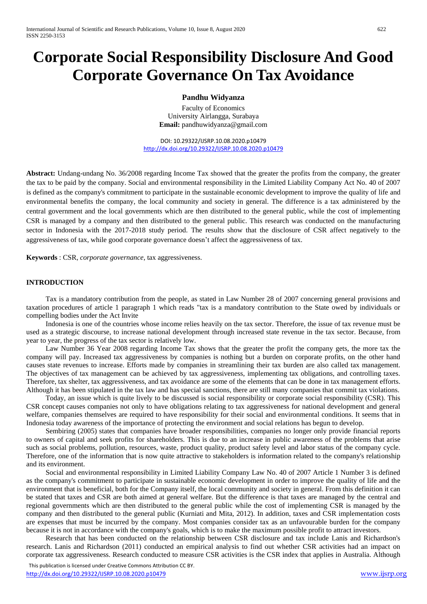# **Corporate Social Responsibility Disclosure And Good Corporate Governance On Tax Avoidance**

## **Pandhu Widyanza**

Faculty of Economics University Airlangga, Surabaya **Email:** pandhuwidyanza@gmail.com

DOI: 10.29322/IJSRP.10.08.2020.p10479 <http://dx.doi.org/10.29322/IJSRP.10.08.2020.p10479>

**Abstract:** Undang-undang No. 36/2008 regarding Income Tax showed that the greater the profits from the company, the greater the tax to be paid by the company. Social and environmental responsibility in the Limited Liability Company Act No. 40 of 2007 is defined as the company's commitment to participate in the sustainable economic development to improve the quality of life and environmental benefits the company, the local community and society in general. The difference is a tax administered by the central government and the local governments which are then distributed to the general public, while the cost of implementing CSR is managed by a company and then distributed to the general public. This research was conducted on the manufacturing sector in Indonesia with the 2017-2018 study period. The results show that the disclosure of CSR affect negatively to the aggressiveness of tax, while good corporate governance doesn't affect the aggressiveness of tax.

**Keywords** : CSR, *corporate governance*, tax aggressiveness.

### **INTRODUCTION**

Tax is a mandatory contribution from the people, as stated in Law Number 28 of 2007 concerning general provisions and taxation procedures of article 1 paragraph 1 which reads "tax is a mandatory contribution to the State owed by individuals or compelling bodies under the Act Invite

Indonesia is one of the countries whose income relies heavily on the tax sector. Therefore, the issue of tax revenue must be used as a strategic discourse, to increase national development through increased state revenue in the tax sector. Because, from year to year, the progress of the tax sector is relatively low.

Law Number 36 Year 2008 regarding Income Tax shows that the greater the profit the company gets, the more tax the company will pay. Increased tax aggressiveness by companies is nothing but a burden on corporate profits, on the other hand causes state revenues to increase. Efforts made by companies in streamlining their tax burden are also called tax management. The objectives of tax management can be achieved by tax aggressiveness, implementing tax obligations, and controlling taxes. Therefore, tax shelter, tax aggressiveness, and tax avoidance are some of the elements that can be done in tax management efforts. Although it has been stipulated in the tax law and has special sanctions, there are still many companies that commit tax violations.

Today, an issue which is quite lively to be discussed is social responsibility or corporate social responsibility (CSR). This CSR concept causes companies not only to have obligations relating to tax aggressiveness for national development and general welfare, companies themselves are required to have responsibility for their social and environmental conditions. It seems that in Indonesia today awareness of the importance of protecting the environment and social relations has begun to develop.

Sembiring (2005) states that companies have broader responsibilities, companies no longer only provide financial reports to owners of capital and seek profits for shareholders. This is due to an increase in public awareness of the problems that arise such as social problems, pollution, resources, waste, product quality, product safety level and labor status of the company cycle. Therefore, one of the information that is now quite attractive to stakeholders is information related to the company's relationship and its environment.

Social and environmental responsibility in Limited Liability Company Law No. 40 of 2007 Article 1 Number 3 is defined as the company's commitment to participate in sustainable economic development in order to improve the quality of life and the environment that is beneficial, both for the Company itself, the local community and society in general. From this definition it can be stated that taxes and CSR are both aimed at general welfare. But the difference is that taxes are managed by the central and regional governments which are then distributed to the general public while the cost of implementing CSR is managed by the company and then distributed to the general public (Kurniati and Mita, 2012). In addition, taxes and CSR implementation costs are expenses that must be incurred by the company. Most companies consider tax as an unfavourable burden for the company because it is not in accordance with the company's goals, which is to make the maximum possible profit to attract investors.

Research that has been conducted on the relationship between CSR disclosure and tax include Lanis and Richardson's research. Lanis and Richardson (2011) conducted an empirical analysis to find out whether CSR activities had an impact on corporate tax aggressiveness. Research conducted to measure CSR activities is the CSR index that applies in Australia. Although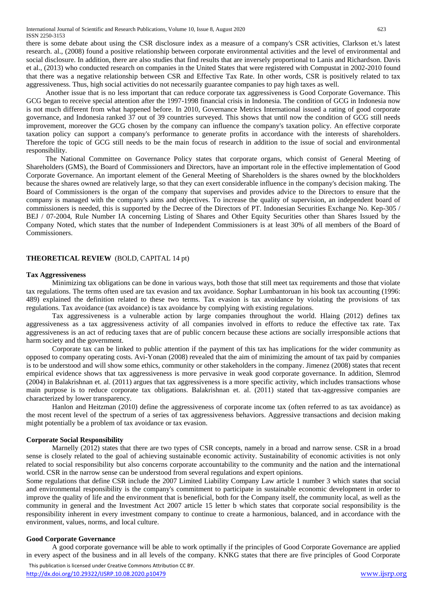there is some debate about using the CSR disclosure index as a measure of a company's CSR activities, Clarkson et.'s latest research. al., (2008) found a positive relationship between corporate environmental activities and the level of environmental and social disclosure. In addition, there are also studies that find results that are inversely proportional to Lanis and Richardson. Davis et al., (2013) who conducted research on companies in the United States that were registered with Compustat in 2002-2010 found that there was a negative relationship between CSR and Effective Tax Rate. In other words, CSR is positively related to tax aggressiveness. Thus, high social activities do not necessarily guarantee companies to pay high taxes as well.

Another issue that is no less important that can reduce corporate tax aggressiveness is Good Corporate Governance. This GCG began to receive special attention after the 1997-1998 financial crisis in Indonesia. The condition of GCG in Indonesia now is not much different from what happened before. In 2010, Governance Metrics International issued a rating of good corporate governance, and Indonesia ranked 37 out of 39 countries surveyed. This shows that until now the condition of GCG still needs improvement, moreover the GCG chosen by the company can influence the company's taxation policy. An effective corporate taxation policy can support a company's performance to generate profits in accordance with the interests of shareholders. Therefore the topic of GCG still needs to be the main focus of research in addition to the issue of social and environmental responsibility.

The National Committee on Governance Policy states that corporate organs, which consist of General Meeting of Shareholders (GMS), the Board of Commissioners and Directors, have an important role in the effective implementation of Good Corporate Governance. An important element of the General Meeting of Shareholders is the shares owned by the blockholders because the shares owned are relatively large, so that they can exert considerable influence in the company's decision making. The Board of Commissioners is the organ of the company that supervises and provides advice to the Directors to ensure that the company is managed with the company's aims and objectives. To increase the quality of supervision, an independent board of commissioners is needed, this is supported by the Decree of the Directors of PT. Indonesian Securities Exchange No. Kep-305 / BEJ / 07-2004, Rule Number IA concerning Listing of Shares and Other Equity Securities other than Shares Issued by the Company Noted, which states that the number of Independent Commissioners is at least 30% of all members of the Board of Commissioners.

### **THEORETICAL REVIEW** (BOLD, CAPITAL 14 pt)

#### **Tax Aggressiveness**

Minimizing tax obligations can be done in various ways, both those that still meet tax requirements and those that violate tax regulations. The terms often used are tax evasion and tax avoidance. Sophar Lumbantoruan in his book tax accounting (1996: 489) explained the definition related to these two terms. Tax evasion is tax avoidance by violating the provisions of tax regulations. Tax avoidance (tax avoidance) is tax avoidance by complying with existing regulations.

Tax aggressiveness is a vulnerable action by large companies throughout the world. Hlaing (2012) defines tax aggressiveness as a tax aggressiveness activity of all companies involved in efforts to reduce the effective tax rate. Tax aggressiveness is an act of reducing taxes that are of public concern because these actions are socially irresponsible actions that harm society and the government.

Corporate tax can be linked to public attention if the payment of this tax has implications for the wider community as opposed to company operating costs. Avi-Yonan (2008) revealed that the aim of minimizing the amount of tax paid by companies is to be understood and will show some ethics, community or other stakeholders in the company. Jimenez (2008) states that recent empirical evidence shows that tax aggressiveness is more pervasive in weak good corporate governance. In addition, Slemrod (2004) in Balakrishnan et. al. (2011) argues that tax aggressiveness is a more specific activity, which includes transactions whose main purpose is to reduce corporate tax obligations. Balakrishnan et. al. (2011) stated that tax-aggressive companies are characterized by lower transparency.

Hanlon and Heitzman (2010) define the aggressiveness of corporate income tax (often referred to as tax avoidance) as the most recent level of the spectrum of a series of tax aggressiveness behaviors. Aggressive transactions and decision making might potentially be a problem of tax avoidance or tax evasion.

#### **Corporate Social Responsibility**

Marnelly (2012) states that there are two types of CSR concepts, namely in a broad and narrow sense. CSR in a broad sense is closely related to the goal of achieving sustainable economic activity. Sustainability of economic activities is not only related to social responsibility but also concerns corporate accountability to the community and the nation and the international world. CSR in the narrow sense can be understood from several regulations and expert opinions.

Some regulations that define CSR include the 2007 Limited Liability Company Law article 1 number 3 which states that social and environmental responsibility is the company's commitment to participate in sustainable economic development in order to improve the quality of life and the environment that is beneficial, both for the Company itself, the community local, as well as the community in general and the Investment Act 2007 article 15 letter b which states that corporate social responsibility is the responsibility inherent in every investment company to continue to create a harmonious, balanced, and in accordance with the environment, values, norms, and local culture.

#### **Good Corporate Governance**

A good corporate governance will be able to work optimally if the principles of Good Corporate Governance are applied in every aspect of the business and in all levels of the company. KNKG states that there are five principles of Good Corporate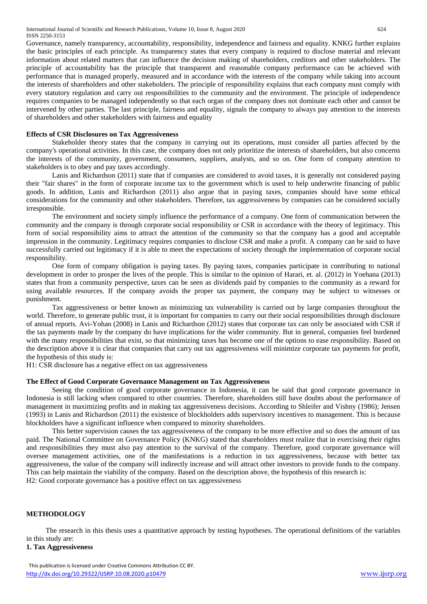Governance, namely transparency, accountability, responsibility, independence and fairness and equality. KNKG further explains the basic principles of each principle. As transparency states that every company is required to disclose material and relevant information about related matters that can influence the decision making of shareholders, creditors and other stakeholders. The principle of accountability has the principle that transparent and reasonable company performance can be achieved with performance that is managed properly, measured and in accordance with the interests of the company while taking into account the interests of shareholders and other stakeholders. The principle of responsibility explains that each company must comply with every statutory regulation and carry out responsibilities to the community and the environment. The principle of independence requires companies to be managed independently so that each organ of the company does not dominate each other and cannot be intervened by other parties. The last principle, fairness and equality, signals the company to always pay attention to the interests of shareholders and other stakeholders with fairness and equality

#### **Effects of CSR Disclosures on Tax Aggressiveness**

Stakeholder theory states that the company in carrying out its operations, must consider all parties affected by the company's operational activities. In this case, the company does not only prioritize the interests of shareholders, but also concerns the interests of the community, government, consumers, suppliers, analysts, and so on. One form of company attention to stakeholders is to obey and pay taxes accordingly.

Lanis and Richardson (2011) state that if companies are considered to avoid taxes, it is generally not considered paying their "fair shares" in the form of corporate income tax to the government which is used to help underwrite financing of public goods. In addition, Lanis and Richardson (2011) also argue that in paying taxes, companies should have some ethical considerations for the community and other stakeholders. Therefore, tax aggressiveness by companies can be considered socially irresponsible.

The environment and society simply influence the performance of a company. One form of communication between the community and the company is through corporate social responsibility or CSR in accordance with the theory of legitimacy. This form of social responsibility aims to attract the attention of the community so that the company has a good and acceptable impression in the community. Legitimacy requires companies to disclose CSR and make a profit. A company can be said to have successfully carried out legitimacy if it is able to meet the expectations of society through the implementation of corporate social responsibility.

One form of company obligation is paying taxes. By paying taxes, companies participate in contributing to national development in order to prosper the lives of the people. This is similar to the opinion of Harari, et. al. (2012) in Yoehana (2013) states that from a community perspective, taxes can be seen as dividends paid by companies to the community as a reward for using available resources. If the company avoids the proper tax payment, the company may be subject to witnesses or punishment.

Tax aggressiveness or better known as minimizing tax vulnerability is carried out by large companies throughout the world. Therefore, to generate public trust, it is important for companies to carry out their social responsibilities through disclosure of annual reports. Avi-Yohan (2008) in Lanis and Richardson (2012) states that corporate tax can only be associated with CSR if the tax payments made by the company do have implications for the wider community. But in general, companies feel burdened with the many responsibilities that exist, so that minimizing taxes has become one of the options to ease responsibility. Based on the description above it is clear that companies that carry out tax aggressiveness will minimize corporate tax payments for profit, the hypothesis of this study is:

H1: CSR disclosure has a negative effect on tax aggressiveness

#### **The Effect of Good Corporate Governance Management on Tax Aggressiveness**

Seeing the condition of good corporate governance in Indonesia, it can be said that good corporate governance in Indonesia is still lacking when compared to other countries. Therefore, shareholders still have doubts about the performance of management in maximizing profits and in making tax aggressiveness decisions. According to Shleifer and Vishny (1986); Jensen (1993) in Lanis and Richardson (2011) the existence of blockholders adds supervisory incentives to management. This is because blockholders have a significant influence when compared to minority shareholders.

This better supervision causes the tax aggressiveness of the company to be more effective and so does the amount of tax paid. The National Committee on Governance Policy (KNKG) stated that shareholders must realize that in exercising their rights and responsibilities they must also pay attention to the survival of the company. Therefore, good corporate governance will oversee management activities, one of the manifestations is a reduction in tax aggressiveness, because with better tax aggressiveness, the value of the company will indirectly increase and will attract other investors to provide funds to the company. This can help maintain the viability of the company. Based on the description above, the hypothesis of this research is: H2: Good corporate governance has a positive effect on tax aggressiveness

### **METHODOLOGY**

The research in this thesis uses a quantitative approach by testing hypotheses. The operational definitions of the variables in this study are:

#### **1. Tax Aggressiveness**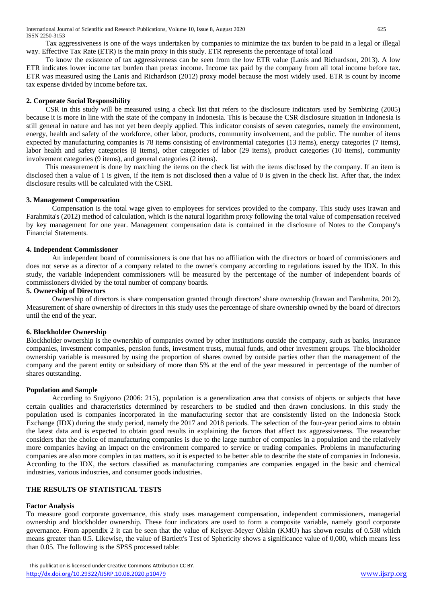Tax aggressiveness is one of the ways undertaken by companies to minimize the tax burden to be paid in a legal or illegal way. Effective Tax Rate (ETR) is the main proxy in this study. ETR represents the percentage of total load

To know the existence of tax aggressiveness can be seen from the low ETR value (Lanis and Richardson, 2013). A low ETR indicates lower income tax burden than pretax income. Income tax paid by the company from all total income before tax. ETR was measured using the Lanis and Richardson (2012) proxy model because the most widely used. ETR is count by income tax expense divided by income before tax.

## **2. Corporate Social Responsibility**

CSR in this study will be measured using a check list that refers to the disclosure indicators used by Sembiring (2005) because it is more in line with the state of the company in Indonesia. This is because the CSR disclosure situation in Indonesia is still general in nature and has not yet been deeply applied. This indicator consists of seven categories, namely the environment, energy, health and safety of the workforce, other labor, products, community involvement, and the public. The number of items expected by manufacturing companies is 78 items consisting of environmental categories (13 items), energy categories (7 items), labor health and safety categories (8 items), other categories of labor (29 items), product categories (10 items), community involvement categories (9 items), and general categories (2 items).

This measurement is done by matching the items on the check list with the items disclosed by the company. If an item is disclosed then a value of 1 is given, if the item is not disclosed then a value of 0 is given in the check list. After that, the index disclosure results will be calculated with the CSRI.

### **3. Management Compensation**

Compensation is the total wage given to employees for services provided to the company. This study uses Irawan and Farahmita's (2012) method of calculation, which is the natural logarithm proxy following the total value of compensation received by key management for one year. Management compensation data is contained in the disclosure of Notes to the Company's Financial Statements.

## **4. Independent Commissioner**

An independent board of commissioners is one that has no affiliation with the directors or board of commissioners and does not serve as a director of a company related to the owner's company according to regulations issued by the IDX. In this study, the variable independent commissioners will be measured by the percentage of the number of independent boards of commissioners divided by the total number of company boards.

# **5. Ownership of Directors**

Ownership of directors is share compensation granted through directors' share ownership (Irawan and Farahmita, 2012). Measurement of share ownership of directors in this study uses the percentage of share ownership owned by the board of directors until the end of the year.

### **6. Blockholder Ownership**

Blockholder ownership is the ownership of companies owned by other institutions outside the company, such as banks, insurance companies, investment companies, pension funds, investment trusts, mutual funds, and other investment groups. The blockholder ownership variable is measured by using the proportion of shares owned by outside parties other than the management of the company and the parent entity or subsidiary of more than 5% at the end of the year measured in percentage of the number of shares outstanding.

### **Population and Sample**

According to Sugiyono (2006: 215), population is a generalization area that consists of objects or subjects that have certain qualities and characteristics determined by researchers to be studied and then drawn conclusions. In this study the population used is companies incorporated in the manufacturing sector that are consistently listed on the Indonesia Stock Exchange (IDX) during the study period, namely the 2017 and 2018 periods. The selection of the four-year period aims to obtain the latest data and is expected to obtain good results in explaining the factors that affect tax aggressiveness. The researcher considers that the choice of manufacturing companies is due to the large number of companies in a population and the relatively more companies having an impact on the environment compared to service or trading companies. Problems in manufacturing companies are also more complex in tax matters, so it is expected to be better able to describe the state of companies in Indonesia. According to the IDX, the sectors classified as manufacturing companies are companies engaged in the basic and chemical industries, various industries, and consumer goods industries.

# **THE RESULTS OF STATISTICAL TESTS**

### **Factor Analysis**

To measure good corporate governance, this study uses management compensation, independent commissioners, managerial ownership and blockholder ownership. These four indicators are used to form a composite variable, namely good corporate governance. From appendix 2 it can be seen that the value of Keisyer-Meyer Olskin (KMO) has shown results of 0.538 which means greater than 0.5. Likewise, the value of Bartlett's Test of Sphericity shows a significance value of 0,000, which means less than 0.05. The following is the SPSS processed table: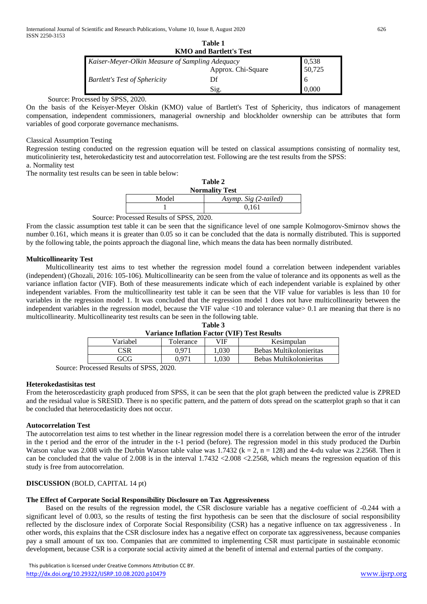| .<br><b>KMO and Bartlett's Test</b>             |                    |        |  |  |  |  |
|-------------------------------------------------|--------------------|--------|--|--|--|--|
| Kaiser-Meyer-Olkin Measure of Sampling Adequacy |                    | 0,538  |  |  |  |  |
|                                                 | Approx. Chi-Square | 50,725 |  |  |  |  |
| <b>Bartlett's Test of Sphericity</b>            | Df                 |        |  |  |  |  |
|                                                 | Sig.               | 0.000  |  |  |  |  |

### Source: Processed by SPSS, 2020.

On the basis of the Keisyer-Meyer Olskin (KMO) value of Bartlett's Test of Sphericity, thus indicators of management compensation, independent commissioners, managerial ownership and blockholder ownership can be attributes that form variables of good corporate governance mechanisms.

## Classical Assumption Testing

Regression testing conducted on the regression equation will be tested on classical assumptions consisting of normality test, muticolinierity test, heterokedasticity test and autocorrelation test. Following are the test results from the SPSS: a. Normality test

The normality test results can be seen in table below:

| Table 2<br><b>Normality Test</b> |                       |  |  |  |
|----------------------------------|-----------------------|--|--|--|
| Model                            | Asymp. Sig (2-tailed) |  |  |  |
|                                  | 0.161                 |  |  |  |

Source: Processed Results of SPSS, 2020.

From the classic assumption test table it can be seen that the significance level of one sample Kolmogorov-Smirnov shows the number 0.161, which means it is greater than 0.05 so it can be concluded that the data is normally distributed. This is supported by the following table, the points approach the diagonal line, which means the data has been normally distributed.

# **Multicollinearity Test**

Multicollinearity test aims to test whether the regression model found a correlation between independent variables (independent) (Ghozali, 2016: 105-106). Multicollinearity can be seen from the value of tolerance and its opponents as well as the variance inflation factor (VIF). Both of these measurements indicate which of each independent variable is explained by other independent variables. From the multicollinearity test table it can be seen that the VIF value for variables is less than 10 for variables in the regression model 1. It was concluded that the regression model 1 does not have multicollinearity between the independent variables in the regression model, because the VIF value <10 and tolerance value > 0.1 are meaning that there is no multicollinearity. Multicollinearity test results can be seen in the following table.

| Table 3                                             |  |  |
|-----------------------------------------------------|--|--|
| <b>Variance Inflation Factor (VIF) Test Results</b> |  |  |

| Variabel                                                           | Tolerance | <b>VIF</b> | Kesimpulan              |  |  |  |
|--------------------------------------------------------------------|-----------|------------|-------------------------|--|--|--|
|                                                                    | ገ 971     | .030       | Bebas Multikolonieritas |  |  |  |
| GCG                                                                | ገ 071     | 030        | Bebas Multikolonieritas |  |  |  |
| $\alpha$ $\approx$ $\approx$ $\alpha$ $\approx$ $\alpha$<br>$\sim$ |           |            |                         |  |  |  |

Source: Processed Results of SPSS, 2020.

### **Heterokedastisitas test**

From the heteroscedasticity graph produced from SPSS, it can be seen that the plot graph between the predicted value is ZPRED and the residual value is SRESID. There is no specific pattern, and the pattern of dots spread on the scatterplot graph so that it can be concluded that heterocedasticity does not occur.

### **Autocorrelation Test**

The autocorrelation test aims to test whether in the linear regression model there is a correlation between the error of the intruder in the t period and the error of the intruder in the t-1 period (before). The regression model in this study produced the Durbin Watson value was 2.008 with the Durbin Watson table value was  $1.7432$  (k = 2, n = 128) and the 4-du value was 2.2568. Then it can be concluded that the value of  $2.008$  is in the interval  $1.7432 \le 2.008 \le 2.2568$ , which means the regression equation of this study is free from autocorrelation.

# **DISCUSSION** (BOLD, CAPITAL 14 pt)

# **The Effect of Corporate Social Responsibility Disclosure on Tax Aggressiveness**

Based on the results of the regression model, the CSR disclosure variable has a negative coefficient of -0.244 with a significant level of 0.003, so the results of testing the first hypothesis can be seen that the disclosure of social responsibility reflected by the disclosure index of Corporate Social Responsibility (CSR) has a negative influence on tax aggressiveness . In other words, this explains that the CSR disclosure index has a negative effect on corporate tax aggressiveness, because companies pay a small amount of tax too. Companies that are committed to implementing CSR must participate in sustainable economic development, because CSR is a corporate social activity aimed at the benefit of internal and external parties of the company.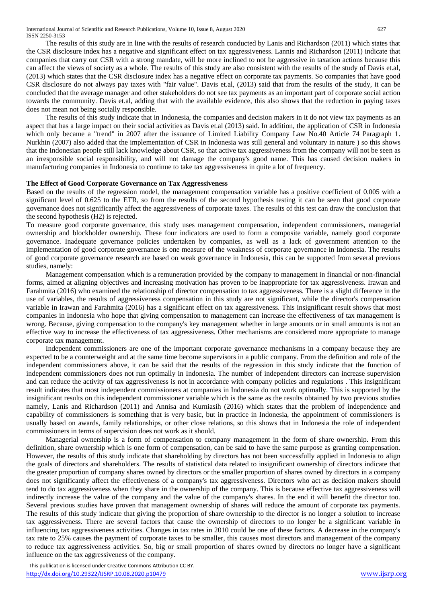The results of this study are in line with the results of research conducted by Lanis and Richardson (2011) which states that the CSR disclosure index has a negative and significant effect on tax aggressiveness. Lannis and Richardson (2011) indicate that companies that carry out CSR with a strong mandate, will be more inclined to not be aggressive in taxation actions because this can affect the views of society as a whole. The results of this study are also consistent with the results of the study of Davis et.al, (2013) which states that the CSR disclosure index has a negative effect on corporate tax payments. So companies that have good CSR disclosure do not always pay taxes with "fair value". Davis et.al, (2013) said that from the results of the study, it can be concluded that the average manager and other stakeholders do not see tax payments as an important part of corporate social action towards the community. Davis et.al, adding that with the available evidence, this also shows that the reduction in paying taxes does not mean not being socially responsible.

The results of this study indicate that in Indonesia, the companies and decision makers in it do not view tax payments as an aspect that has a large impact on their social activities as Davis et.al (2013) said. In addition, the application of CSR in Indonesia which only became a "trend" in 2007 after the issuance of Limited Liability Company Law No.40 Article 74 Paragraph 1. Nurkhin (2007) also added that the implementation of CSR in Indonesia was still general and voluntary in nature ) so this shows that the Indonesian people still lack knowledge about CSR, so that active tax aggressiveness from the company will not be seen as an irresponsible social responsibility, and will not damage the company's good name. This has caused decision makers in manufacturing companies in Indonesia to continue to take tax aggressiveness in quite a lot of frequency.

### **The Effect of Good Corporate Governance on Tax Aggressiveness**

Based on the results of the regression model, the management compensation variable has a positive coefficient of 0.005 with a significant level of 0.625 to the ETR, so from the results of the second hypothesis testing it can be seen that good corporate governance does not significantly affect the aggressiveness of corporate taxes. The results of this test can draw the conclusion that the second hypothesis (H2) is rejected.

To measure good corporate governance, this study uses management compensation, independent commissioners, managerial ownership and blockholder ownership. These four indicators are used to form a composite variable, namely good corporate governance. Inadequate governance policies undertaken by companies, as well as a lack of government attention to the implementation of good corporate governance is one measure of the weakness of corporate governance in Indonesia. The results of good corporate governance research are based on weak governance in Indonesia, this can be supported from several previous studies, namely:

Management compensation which is a remuneration provided by the company to management in financial or non-financial forms, aimed at aligning objectives and increasing motivation has proven to be inappropriate for tax aggressiveness. Irawan and Farahmita (2016) who examined the relationship of director compensation to tax aggressiveness. There is a slight difference in the use of variables, the results of aggressiveness compensation in this study are not significant, while the director's compensation variable in Irawan and Farahmita (2016) has a significant effect on tax aggressiveness. This insignificant result shows that most companies in Indonesia who hope that giving compensation to management can increase the effectiveness of tax management is wrong. Because, giving compensation to the company's key management whether in large amounts or in small amounts is not an effective way to increase the effectiveness of tax aggressiveness. Other mechanisms are considered more appropriate to manage corporate tax management.

Independent commissioners are one of the important corporate governance mechanisms in a company because they are expected to be a counterweight and at the same time become supervisors in a public company. From the definition and role of the independent commissioners above, it can be said that the results of the regression in this study indicate that the function of independent commissioners does not run optimally in Indonesia. The number of independent directors can increase supervision and can reduce the activity of tax aggressiveness is not in accordance with company policies and regulations . This insignificant result indicates that most independent commissioners at companies in Indonesia do not work optimally. This is supported by the insignificant results on this independent commissioner variable which is the same as the results obtained by two previous studies namely, Lanis and Richardson (2011) and Annisa and Kurniasih (2016) which states that the problem of independence and capability of commissioners is something that is very basic, but in practice in Indonesia, the appointment of commissioners is usually based on awards, family relationships, or other close relations, so this shows that in Indonesia the role of independent commissioners in terms of supervision does not work as it should.

Managerial ownership is a form of compensation to company management in the form of share ownership. From this definition, share ownership which is one form of compensation, can be said to have the same purpose as granting compensation. However, the results of this study indicate that shareholding by directors has not been successfully applied in Indonesia to align the goals of directors and shareholders. The results of statistical data related to insignificant ownership of directors indicate that the greater proportion of company shares owned by directors or the smaller proportion of shares owned by directors in a company does not significantly affect the effectiveness of a company's tax aggressiveness. Directors who act as decision makers should tend to do tax aggressiveness when they share in the ownership of the company. This is because effective tax aggressiveness will indirectly increase the value of the company and the value of the company's shares. In the end it will benefit the director too. Several previous studies have proven that management ownership of shares will reduce the amount of corporate tax payments. The results of this study indicate that giving the proportion of share ownership to the director is no longer a solution to increase tax aggressiveness. There are several factors that cause the ownership of directors to no longer be a significant variable in influencing tax aggressiveness activities. Changes in tax rates in 2010 could be one of these factors. A decrease in the company's tax rate to 25% causes the payment of corporate taxes to be smaller, this causes most directors and management of the company to reduce tax aggressiveness activities. So, big or small proportion of shares owned by directors no longer have a significant influence on the tax aggressiveness of the company.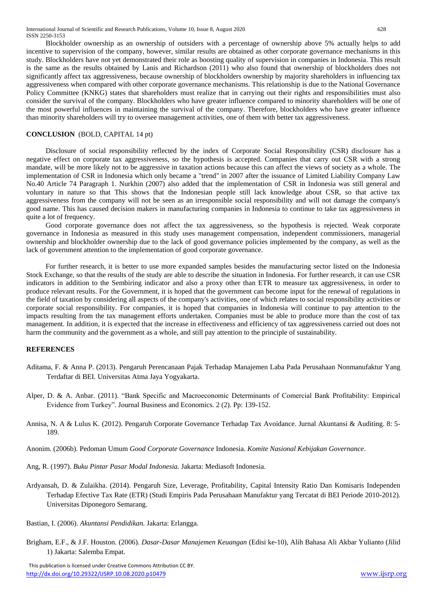Blockholder ownership as an ownership of outsiders with a percentage of ownership above 5% actually helps to add incentive to supervision of the company, however, similar results are obtained as other corporate governance mechanisms in this study. Blockholders have not yet demonstrated their role as boosting quality of supervision in companies in Indonesia. This result is the same as the results obtained by Lanis and Richardson (2011) who also found that ownership of blockholders does not significantly affect tax aggressiveness, because ownership of blockholders ownership by majority shareholders in influencing tax aggressiveness when compared with other corporate governance mechanisms. This relationship is due to the National Governance Policy Committee (KNKG) states that shareholders must realize that in carrying out their rights and responsibilities must also consider the survival of the company. Blockholders who have greater influence compared to minority shareholders will be one of the most powerful influences in maintaining the survival of the company. Therefore, blockholders who have greater influence than minority shareholders will try to oversee management activities, one of them with better tax aggressiveness.

#### **CONCLUSION** (BOLD, CAPITAL 14 pt)

Disclosure of social responsibility reflected by the index of Corporate Social Responsibility (CSR) disclosure has a negative effect on corporate tax aggressiveness, so the hypothesis is accepted. Companies that carry out CSR with a strong mandate, will be more likely not to be aggressive in taxation actions because this can affect the views of society as a whole. The implementation of CSR in Indonesia which only became a "trend" in 2007 after the issuance of Limited Liability Company Law No.40 Article 74 Paragraph 1. Nurkhin (2007) also added that the implementation of CSR in Indonesia was still general and voluntary in nature so that This shows that the Indonesian people still lack knowledge about CSR, so that active tax aggressiveness from the company will not be seen as an irresponsible social responsibility and will not damage the company's good name. This has caused decision makers in manufacturing companies in Indonesia to continue to take tax aggressiveness in quite a lot of frequency.

Good corporate governance does not affect the tax aggressiveness, so the hypothesis is rejected. Weak corporate governance in Indonesia as measured in this study uses management compensation, independent commissioners, managerial ownership and blockholder ownership due to the lack of good governance policies implemented by the company, as well as the lack of government attention to the implementation of good corporate governance.

For further research, it is better to use more expanded samples besides the manufacturing sector listed on the Indonesia Stock Exchange, so that the results of the study are able to describe the situation in Indonesia. For further research, it can use CSR indicators in addition to the Sembiring indicator and also a proxy other than ETR to measure tax aggressiveness, in order to produce relevant results. For the Government, it is hoped that the government can become input for the renewal of regulations in the field of taxation by considering all aspects of the company's activities, one of which relates to social responsibility activities or corporate social responsibility. For companies, it is hoped that companies in Indonesia will continue to pay attention to the impacts resulting from the tax management efforts undertaken. Companies must be able to produce more than the cost of tax management. In addition, it is expected that the increase in effectiveness and efficiency of tax aggressiveness carried out does not harm the community and the government as a whole, and still pay attention to the principle of sustainability.

#### **REFERENCES**

- Aditama, F. & Anna P. (2013). Pengaruh Perencanaan Pajak Terhadap Manajemen Laba Pada Perusahaan Nonmanufaktur Yang Terdaftar di BEI*.* Universitas Atma Jaya Yogyakarta.
- Alper, D. & A. Anbar. (2011). "Bank Specific and Macroeconomic Determinants of Comercial Bank Profitability: Empirical Evidence from Turkey". Journal Business and Economics. 2 (2). Pp: 139-152.
- Annisa, N. A & Lulus K. (2012). Pengaruh Corporate Governance Terhadap Tax Avoidance. Jurnal Akuntansi & Auditing. 8: 5- 189.
- Anonim. (2006b). Pedoman Umum *Good Corporate Governance* Indonesia. *Komite Nasional Kebijakan Governance*.
- Ang, R. (1997). *Buku Pintar Pasar Modal Indonesia.* Jakarta: Mediasoft Indonesia.
- Ardyansah, D. & Zulaikha. (2014). Pengaruh Size, Leverage, Profitability, Capital Intensity Ratio Dan Komisaris Independen Terhadap Efective Tax Rate (ETR) (Studi Empiris Pada Perusahaan Manufaktur yang Tercatat di BEI Periode 2010-2012). Universitas Diponegoro Semarang.
- Bastian, I. (2006). *Akuntansi Pendidikan.* Jakarta: Erlangga.
- Brigham, E.F., & J.F. Houston. (2006). *Dasar-Dasar Manajemen Keuangan* (Edisi ke-10), Alih Bahasa Ali Akbar Yulianto (Jilid 1) Jakarta: Salemba Empat.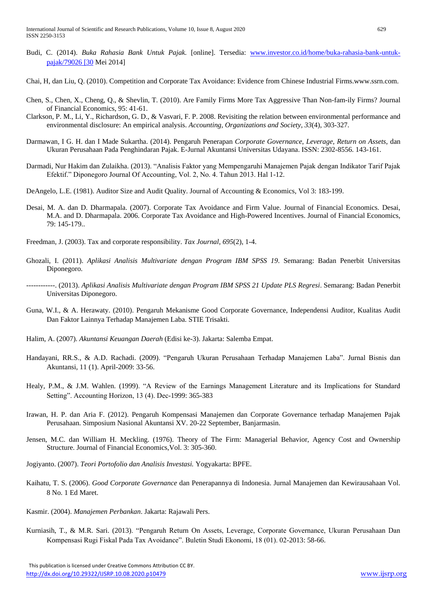- Budi, C. (2014). *Buka Rahasia Bank Untuk Pajak.* [online]. Tersedia: [www.investor.co.id/home/buka-rahasia-bank-untuk](http://www.investor.co.id/home/buka-rahasia-bank-untuk-pajak/79026%20%5b30)[pajak/79026 \[30](http://www.investor.co.id/home/buka-rahasia-bank-untuk-pajak/79026%20%5b30) Mei 2014]
- Chai, H, dan Liu, Q. (2010). Competition and Corporate Tax Avoidance: Evidence from Chinese Industrial Firms.www.ssrn.com.
- Chen, S., Chen, X., Cheng, Q., & Shevlin, T. (2010). Are Family Firms More Tax Aggressive Than Non-fam-ily Firms? Journal of Financial Economics, 95: 41-61.
- Clarkson, P. M., Li, Y., Richardson, G. D., & Vasvari, F. P. 2008. Revisiting the relation between environmental performance and environmental disclosure: An empirical analysis. *Accounting, Organizations and Society*, *33*(4), 303-327.
- Darmawan, I G. H. dan I Made Sukartha. (2014). Pengaruh Penerapan *Corporate Governance*, *Leverage, Return on Assets*, dan Ukuran Perusahaan Pada Penghindaran Pajak. E-Jurnal Akuntansi Universitas Udayana. ISSN: 2302-8556. 143-161.
- Darmadi, Nur Hakim dan Zulaikha. (2013). "Analisis Faktor yang Mempengaruhi Manajemen Pajak dengan Indikator Tarif Pajak Efektif." Diponegoro Journal Of Accounting, Vol. 2, No. 4. Tahun 2013. Hal 1-12.
- DeAngelo, L.E. (1981). Auditor Size and Audit Quality. Journal of Accounting & Economics, Vol 3: 183-199.
- Desai, M. A. dan D. Dharmapala. (2007). Corporate Tax Avoidance and Firm Value. Journal of Financial Economics. Desai, M.A. and D. Dharmapala. 2006. Corporate Tax Avoidance and High-Powered Incentives. Journal of Financial Economics, 79: 145-179..
- Freedman, J. (2003). Tax and corporate responsibility. *Tax Journal*, *695*(2), 1-4.
- Ghozali, I. (2011). *Aplikasi Analisis Multivariate dengan Program IBM SPSS 19*. Semarang: Badan Penerbit Universitas Diponegoro.
- ------------. (2013). *Aplikasi Analisis Multivariate dengan Program IBM SPSS 21 Update PLS Regresi*. Semarang: Badan Penerbit Universitas Diponegoro.
- Guna, W.I., & A. Herawaty. (2010). Pengaruh Mekanisme Good Corporate Governance, Independensi Auditor, Kualitas Audit Dan Faktor Lainnya Terhadap Manajemen Laba. STIE Trisakti.
- Halim, A. (2007). *Akuntansi Keuangan Daerah* (Edisi ke-3). Jakarta: Salemba Empat.
- Handayani, RR.S., & A.D. Rachadi. (2009). "Pengaruh Ukuran Perusahaan Terhadap Manajemen Laba". Jurnal Bisnis dan Akuntansi, 11 (1). April-2009: 33-56.
- Healy, P.M., & J.M. Wahlen. (1999). "A Review of the Earnings Management Literature and its Implications for Standard Setting". Accounting Horizon, 13 (4). Dec-1999: 365-383
- Irawan, H. P. dan Aria F. (2012). Pengaruh Kompensasi Manajemen dan Corporate Governance terhadap Manajemen Pajak Perusahaan. Simposium Nasional Akuntansi XV. 20-22 September, Banjarmasin.
- Jensen, M.C. dan William H. Meckling. (1976). Theory of The Firm: Managerial Behavior, Agency Cost and Ownership Structure. Journal of Financial Economics,Vol. 3: 305-360.
- Jogiyanto. (2007). *Teori Portofolio dan Analisis Investasi.* Yogyakarta: BPFE.
- Kaihatu, T. S. (2006). *Good Corporate Governance* dan Penerapannya di Indonesia. Jurnal Manajemen dan Kewirausahaan Vol. 8 No. 1 Ed Maret.
- Kasmir. (2004). *Manajemen Perbankan*. Jakarta: Rajawali Pers.
- Kurniasih, T., & M.R. Sari. (2013). "Pengaruh Return On Assets, Leverage, Corporate Governance, Ukuran Perusahaan Dan Kompensasi Rugi Fiskal Pada Tax Avoidance". Buletin Studi Ekonomi, 18 (01). 02-2013: 58-66.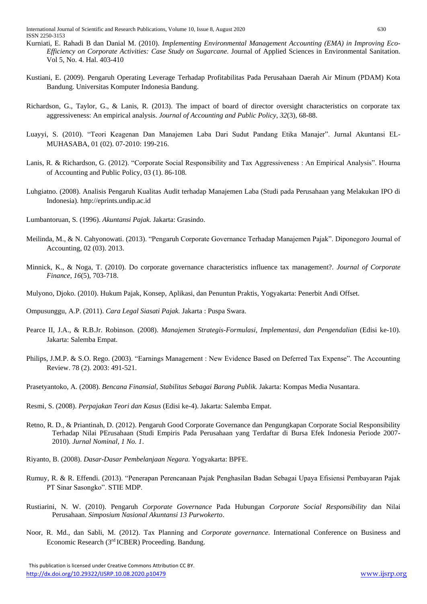- Kurniati, E. Rahadi B dan Danial M. (2010). *Implementing Environmental Management Accounting (EMA) in Improving Eco-Efficiency on Corporate Activities: Case Study on Sugarcane*. Journal of Applied Sciences in Environmental Sanitation. Vol 5, No. 4. Hal. 403-410
- Kustiani, E. (2009). Pengaruh Operating Leverage Terhadap Profitabilitas Pada Perusahaan Daerah Air Minum (PDAM) Kota Bandung. Universitas Komputer Indonesia Bandung.
- Richardson, G., Taylor, G., & Lanis, R. (2013). The impact of board of director oversight characteristics on corporate tax aggressiveness: An empirical analysis. *Journal of Accounting and Public Policy*, *32*(3), 68-88.
- Luayyi, S. (2010). "Teori Keagenan Dan Manajemen Laba Dari Sudut Pandang Etika Manajer". Jurnal Akuntansi EL-MUHASABA, 01 (02). 07-2010: 199-216.
- Lanis, R. & Richardson, G. (2012). "Corporate Social Responsibility and Tax Aggressiveness : An Empirical Analysis". Hourna of Accounting and Public Policy, 03 (1). 86-108.
- Luhgiatno. (2008). Analisis Pengaruh Kualitas Audit terhadap Manajemen Laba (Studi pada Perusahaan yang Melakukan IPO di Indonesia). http://eprints.undip.ac.id
- Lumbantoruan, S. (1996). *Akuntansi Pajak.* Jakarta: Grasindo.
- Meilinda, M., & N. Cahyonowati. (2013). "Pengaruh Corporate Governance Terhadap Manajemen Pajak". Diponegoro Journal of Accounting, 02 (03). 2013.
- Minnick, K., & Noga, T. (2010). Do corporate governance characteristics influence tax management?. *Journal of Corporate Finance*, *16*(5), 703-718.
- Mulyono, Djoko. (2010). Hukum Pajak, Konsep, Aplikasi, dan Penuntun Praktis, Yogyakarta: Penerbit Andi Offset.
- Ompusunggu, A.P. (2011). *Cara Legal Siasati Pajak.* Jakarta : Puspa Swara.
- Pearce II, J.A., & R.B.Jr. Robinson. (2008). *Manajemen Strategis-Formulasi, Implementasi, dan Pengendalian* (Edisi ke-10). Jakarta: Salemba Empat.
- Philips, J.M.P. & S.O. Rego. (2003). "Earnings Management : New Evidence Based on Deferred Tax Expense". The Accounting Review. 78 (2). 2003: 491-521.
- Prasetyantoko, A. (2008). *Bencana Finansial, Stabilitas Sebagai Barang Publik.* Jakarta: Kompas Media Nusantara.
- Resmi, S. (2008). *Perpajakan Teori dan Kasus* (Edisi ke-4). Jakarta: Salemba Empat.
- Retno, R. D., & Priantinah, D. (2012). Pengaruh Good Corporate Governance dan Pengungkapan Corporate Social Responsibility Terhadap Nilai PErusahaan (Studi Empiris Pada Perusahaan yang Terdaftar di Bursa Efek Indonesia Periode 2007- 2010). *Jurnal Nominal, 1 No. 1*.
- Riyanto, B. (2008). *Dasar-Dasar Pembelanjaan Negara.* Yogyakarta: BPFE.
- Rumuy, R. & R. Effendi. (2013). "Penerapan Perencanaan Pajak Penghasilan Badan Sebagai Upaya Efisiensi Pembayaran Pajak PT Sinar Sasongko". STIE MDP.
- Rustiarini, N. W. (2010). Pengaruh *Corporate Governance* Pada Hubungan *Corporate Social Responsibility* dan Nilai Perusahaan. *Simposium Nasional Akuntansi 13 Purwokerto*.
- Noor, R. Md., dan Sabli, M. (2012). Tax Planning and *Corporate governance*. International Conference on Business and Economic Research (3<sup>rd</sup> ICBER) Proceeding. Bandung.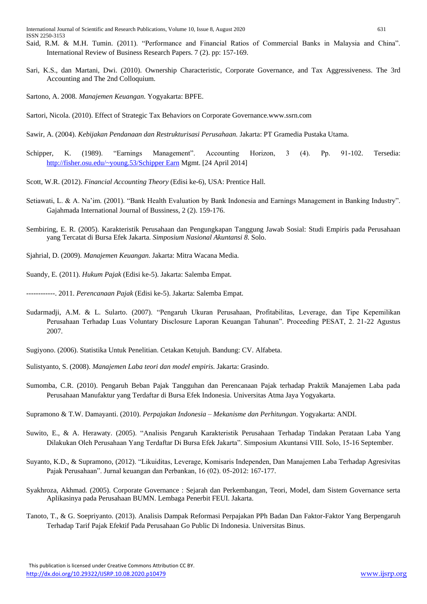- Said, R.M. & M.H. Tumin. (2011). "Performance and Financial Ratios of Commercial Banks in Malaysia and China". International Review of Business Research Papers. 7 (2). pp: 157-169.
- Sari, K.S., dan Martani, Dwi. (2010). Ownership Characteristic, Corporate Governance, and Tax Aggressiveness. The 3rd Accounting and The 2nd Colloquium.
- Sartono, A. 2008. *Manajemen Keuangan.* Yogyakarta: BPFE.
- Sartori, Nicola. (2010). Effect of Strategic Tax Behaviors on Corporate Governance.www.ssrn.com
- Sawir, A. (2004). *Kebijakan Pendanaan dan Restrukturisasi Perusahaan.* Jakarta: PT Gramedia Pustaka Utama.
- Schipper, K. (1989). "Earnings Management". Accounting Horizon, 3 (4). Pp. 91-102. Tersedia: [http://fisher.osu.edu/~young.53/Schipper Earn](http://fisher.osu.edu/~young.53/Schipper%20Earn) Mgmt. [24 April 2014]
- Scott, W.R. (2012). *Financial Accounting Theory* (Edisi ke-6), USA: Prentice Hall.
- Setiawati, L. & A. Na'im. (2001). "Bank Health Evaluation by Bank Indonesia and Earnings Management in Banking Industry". Gajahmada International Journal of Bussiness, 2 (2). 159-176.
- Sembiring, E. R. (2005). Karakteristik Perusahaan dan Pengungkapan Tanggung Jawab Sosial: Studi Empiris pada Perusahaan yang Tercatat di Bursa Efek Jakarta. *Simposium Nasional Akuntansi 8*. Solo.
- Sjahrial, D. (2009). *Manajemen Keuangan.* Jakarta: Mitra Wacana Media.
- Suandy, E. (2011). *Hukum Pajak* (Edisi ke-5). Jakarta: Salemba Empat.

------------. 2011. *Perencanaan Pajak* (Edisi ke-5). Jakarta: Salemba Empat.

- Sudarmadji, A.M. & L. Sularto. (2007). "Pengaruh Ukuran Perusahaan, Profitabilitas, Leverage, dan Tipe Kepemilikan Perusahaan Terhadap Luas Voluntary Disclosure Laporan Keuangan Tahunan". Proceeding PESAT, 2. 21-22 Agustus 2007.
- Sugiyono. (2006). Statistika Untuk Penelitian. Cetakan Ketujuh. Bandung: CV. Alfabeta.
- Sulistyanto, S. (2008). *Manajemen Laba teori dan model empiris.* Jakarta: Grasindo.
- Sumomba, C.R. (2010). Pengaruh Beban Pajak Tangguhan dan Perencanaan Pajak terhadap Praktik Manajemen Laba pada Perusahaan Manufaktur yang Terdaftar di Bursa Efek Indonesia. Universitas Atma Jaya Yogyakarta.
- Supramono & T.W. Damayanti. (2010). *Perpajakan Indonesia – Mekanisme dan Perhitungan*. Yogyakarta: ANDI.
- Suwito, E., & A. Herawaty. (2005). "Analisis Pengaruh Karakteristik Perusahaan Terhadap Tindakan Perataan Laba Yang Dilakukan Oleh Perusahaan Yang Terdaftar Di Bursa Efek Jakarta". Simposium Akuntansi VIII. Solo, 15-16 September.
- Suyanto, K.D., & Supramono, (2012). "Likuiditas, Leverage, Komisaris Independen, Dan Manajemen Laba Terhadap Agresivitas Pajak Perusahaan". Jurnal keuangan dan Perbankan, 16 (02). 05-2012: 167-177.
- Syakhroza, Akhmad. (2005). Corporate Governance : Sejarah dan Perkembangan, Teori, Model, dam Sistem Governance serta Aplikasinya pada Perusahaan BUMN. Lembaga Penerbit FEUI. Jakarta.
- Tanoto, T., & G. Soepriyanto. (2013). Analisis Dampak Reformasi Perpajakan PPh Badan Dan Faktor-Faktor Yang Berpengaruh Terhadap Tarif Pajak Efektif Pada Perusahaan Go Public Di Indonesia. Universitas Binus.